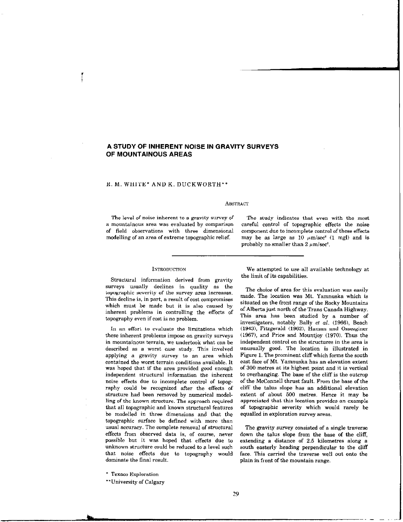# A STUDY OF INHERENT NOISE IN GRAVITY SURVEYS OF MOUNTAINOUS AREAS

# R. M. WHITE\* AND K. DUCKWORTH\*\*

### **ABSTRACT**

of field observations with three dimensional

The level of noise inherent to a gravity survey of The study indicates that even with the most a mountainous area was evaluated by comparison careful control of topographic effects the noise modelling of an area of extreme topographic relief. may be as large as 10  $\mu$ m/sec<sup>o</sup> (1 mgl) and is probably no smaller than  $2 \mu m/sec^2$ .

## **INTRODUCTION**

Structural information derived from gravity surveys usually declines in quality as the topographic severity of the survey area increases. This decline is, in part, a result of cost compromises which must be made but it is also caused by inherent problems in controlling the effects of topography even if cost is no problem.

In an effort to evaluate the limitations which these inherent problems impose on gravity surveys in mountainous terrain, we undertook what can be described as a worst case study. This involved applying a gravity survey to an area which contained the worst terrain conditions available. It was hoped that if the area provided good enough independent structural information the inherent noise effects due to incomplete control of topography could be recognized after the effects of structure had been removed by numerical modelling of the known structure. The approach required that all topographic and known structural features be modelled in three dimensions and that the topographic surface be defined with more than usual accuracy. The complete removal of structural effects from observed data is, of course, never possible but it was hoped that effects due to unknown structure could be reduced to a level such that noise effects due to topography would dominate the final result.

We attempted to use all available technology at

the limit of its capabilities.

The choice of area for this evaluation was easily made. The location was Mt. Yamnuska which is situated on the front range of the Rocky Mountains of Alberta just north of the Trans Canada Highway. This area has been studied by a number of investigators, notably Bally  $et$   $al$ , (1966). Beach (1943), Fitzgerald (1962), Haman and Ozsezginer (1967), and Price and Mountjoy (1970). Thus the independent control on the structures in the area is unusually good. The location is illustrated in Figure 1. The prominent cliff which forms the south east face of Mt. Yamnuska has an elevation extent of 300 metres at its highest point and it is vertical to overhanging. The base of the cliff is the outcrop of the McConnell thrust fault. From the base of the cliff the talus slope has an additional elevation extent of about 500 metres. Hence it may be appreciated that this location provides an example

The gravity survey consisted of a single traverse down the talus slope from the base of the cliff, extending a distance of 2.5 kilometres along a south easterly heading perpendicular to the cliff face. This carried the traverse well out onto the plain in front of the mountain range.

of topographic severity which would rarely be

equalled in exploration survey areas.

\* Texaco Exploration

\*\*University of Calgary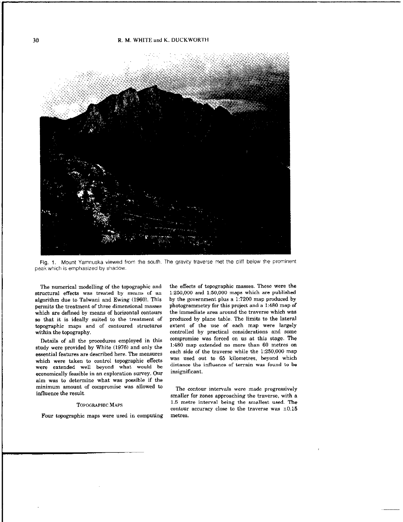

Fig. 1. Mount Yamnuska viewed from the south. The gravity traverse met the cliff below the prominent peak which is emphasized by shadow.

The numerical modelling of the topographic and structural effects was treated by means of an algorithm due to Talwani and Ewing (1960). This permits the treatment of three dimensional masses which are defined by means of horizontal contours so that it is ideally suited to the treatment of topographic maps and of contoured structures within the topography.

Details of all the procedures employed in this study were provided by White (1976) and only the essential features are described here. The measures which were taken to control topographic effects were extended well beyond what would be economically feasible in an exploration survey. Our aim was to determine what was possible if the minimum amount of compromise was allowed ta influence the result.

### TOPOGRAPHIC MAPS

Four topographic maps were used in computing

the effects of topographic masses. These were the 1:250,000 and 1:50,000 maps which are published by the government plus a 1:1200 map produced by photogrammetry for this project and a I:480 map of the immediate area around the traverse which was produced by plane table. The limits to the lateral extent of the use of each map were largely controlled by practical considerations and some compromise was forced on us at this stage. The I:480 map extended no more than 60 metres on each side of the traverse while the 1:250,000 map was used out to 65 kilometres, beyond which distance the influence of terrain was found to be insignificant.

The contour intervals were made progressively smaller for zones approaching the traverse, with a 1.5 metre interval being the smallest used. The contour accuracy close to the traverse was  $\pm 0.15$ metres.

30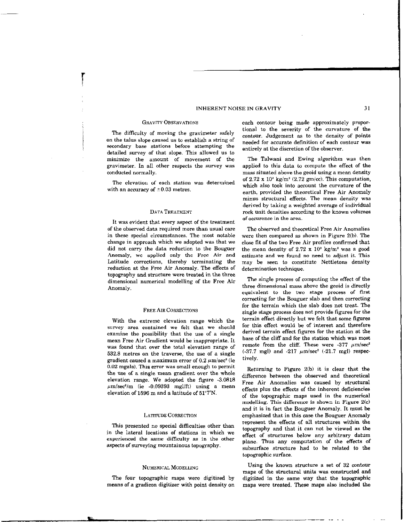## INHERENT NOISE IN GRAVITY 31

on the talus slope caused us to establish a string of secondary base stations before attempting the detailed survey of that slope. This allowed us to minimize the amount of movement of the The Talwani and Ewing algorithm was then gravimeter. In all other respects the survey was applied to this data ta compute the effect of the conducted normallv. mass situated above the geoid using a mean density

The elevation of each station was determined with an accuracy of  $\pm 0.03$  metres.

#### DATA TREATMENT

It was evident that every aspect of the treatment of the observed data required more than usual care in these special circumstances. The most notable change in approach which we adopted was that we did not carry the data reduction to the Bouguer Anomaly, we applied only the Free Air and Latitude corrections, thereby terminating the reduction at the Free Air Anomaly. The effects of topography and structure were treated in the three dimensional numerical modelling of the Free Air Anomaly.

#### FREE AIR CORRECTIONS

With the extreme elevation range which the survey area contained we felt that we should examine the possibility that the use of a single mean Free Air Gradient would be inappropriate. It was found that over the total elevation range of 532.8 metres on the traverse, the use of a single gradient caused a maximum error of  $0.2 \mu m/sec^2$  (ie 0.02 mgals). This error was small enough to permit the use of a single mean gradient over the whole elevation range. We adopted the figure -3.0818  $\mu$ m/sec<sup>2</sup>/m (ie -0.09393 mgl/ft) using a mean  $\mu$ m/sec<sup>-</sup>/m (ie -0.09999 mgi/ft) using a mean effects plus the effects of the inherent deficiencies elevation of 1596 m and a latitude of 51°7'N.

This presented no special difficulties other than in the lateral locations of stations in which we experienced the same difficulty as in the other plane. Thus any computation of the effects of aspects of surveying mountainous topography.

means of a gradicon digitizer with point density on maps were treated. These maps also included the

GRAVITY OBSERVATIONS each contour being made approximately propor-The difficulty of moving the gravimeter safely tional to the severity of the curvature of the contour. Judgement as to the density of points needed for accurate definition of each contour was entirely at the discretion of the observer.

> of  $2.72 \times 10^8$  kg/m<sup>3</sup> (2.72 gm/cc). This computation, which also took into account the curvature of the earth, provided the theoretical Free Air Anomaly minus structural effects. The mean density was derived by taking a weighted average of individual rock unit densities according to the known volumes of occurence in the area.

> The observed and theoretical Free Air Anomalies were then compared as shown in Figure Z(b). The close fit of the two Free Air profiles confirmed that the mean density of 2.72 x  $10^8$  kg/m<sup>3</sup> was a good estimate and we found no need to adjust it. This may be seen to constitute Nettletons density determination technique.

> The single process of computing the effect of the three dimensional mass above the geoid is directly equivalent to the two stage process of first correcting for the Bouguer slab and then correcting for the terrain which the slab does not treat. The single atage process does not provide figures for the terrain effect directly but we felt that some figures for this effect would be of interest and therefore derived terrain effect figures for the station at the base of the cliff and for the station which was most remote from the cliff. These were -377  $\mu$ m/sec<sup>2</sup>  $(-37.7 \text{ mgl})$  and  $-217 \mu \text{m/sec}^2$   $(-21.7 \text{ mgl})$  respectively.

Returning to Figure  $2(b)$  it is clear that the difference between the observed and theoretical Free Air Anomalies was caused by structural of the topographic maps used in the numerical modelling. This difference is shown in Figure 2(c) and it is in fact the Bauguer Anomaly. It must be LATTUDE CORRECTION emphasized that in this case the Bouguer Anomaly<br>represent the effects of all structures within the topography and that it can not be viewed as the<br>effect of structures below any arbitrary datum subsurface structure had ta be related to the topographic surface

NUMERICAL MODELLING Using the known structure a set of 32 contour maps of the structural units was constructed and The four topographic maps were digitized by digitized in the same way that the topographic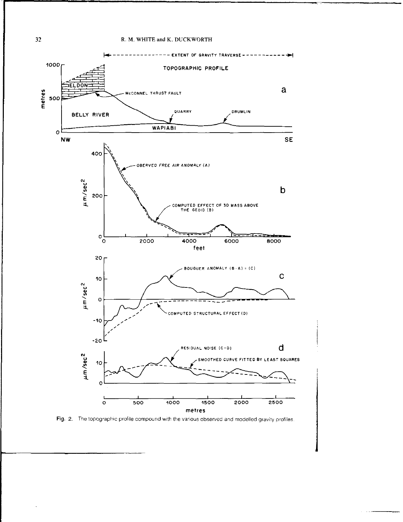

Fig. 2. The topographic profile compound with the various observed and modelled gravity profiles.

 $32$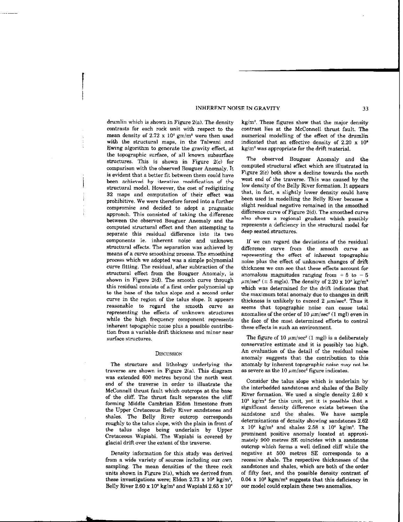### INHERENT NOISE IN GRAVITY 33

drumlin which is shown in Figure 2(a). The density contrasts for each rock unit with respect to the mean density of 2.72 x  $10^3$  gm/m<sup>3</sup> were then used with the structural maps, in the Talwani and Ewing algorithm to generate the gravity effect, at the topographic surface, of all known subsurface structures. This is shown in Figure 2(c) for comparison with the observed Bouguer Anomaly. It is evident that a better fit between them could have been achieved by iterative modification of the structural model. However, the cost of redigitizing 32 maps and computation of their effect was prohibitive. We were therefore forced into a further compromise and decided to adopt a pragmatic approach. This consisted of taking the difference between the observed Bouguer Anomaly and the computed structural effect and then attempting to separate this residual difference into its two components ie. inherent noise and unknown structural effects. The separation was achieved by means of a curve smoothing process. The smoothing process which we adopted was a simple polynomial curve fitting. The residual, after subtraction of the structural effect from the Bouguer Anomaly, is shown in Figure  $2(d)$ . The smooth curve through this residual consists of a first order polynomial up to the base of the talus slope and a second order curve in the region of the talus slope. It appears reasonable to regard the smooth curve as representing the effects of unknown structures while the high frequency component represents inherent topogaphie noise plus a possible contribution from a variable drift thickness and minor near surface structures.

### DISCUSSION

The structure and lithology underlying the traverse are shown in Figure 2(a). This diagram was extended 600 metres beyond the north west end of the traverse in order to illustrate the McConnell thrust fault which outcrops at the base of the cliff. The thrust fault separates the cliff forming Middle Cambrian Eldon limestone from the Upper Cretaceous Belly River sandstones and shales. The Belly River outcrop corresponds roughly to the talus slope, with the plain in front of the talus slope being underlain by Upper Cretaceous Wapiabi. The Wapiabi is covered by glacial drift over the extent of the traverse.

Density information for this study was derived from a wide variety of sources including our own sampling. The mean densities of the three rock units shown in Figure  $2(a)$ , which we derived from these investigations were; Eldon 2.73 x  $10^3$  kg/m<sup>3</sup>. Belly River  $2.60 \times 10^8$  kg/m<sup>3</sup> and Wapiabi  $2.65 \times 10^3$ 

kg/m'. These figures show that the major density contrast lies at the McConnell thrust fault. The numerical modelling of the effect of the drumlin indicated that an effective density of 2.20 x IO'  $kg/m<sup>3</sup>$  was appropriate for the drift material.

The observed Bouguer Anomaly and the computed structural effect which are illustrated in Figure Z(c) both show a decline towards the north west end of the traverse. This was caused by the low density of the Belly River formation. It appears that, in fact, a slightly lower density could have been used in modelling the Belly River because a slight residual negative remained in the smoothed difference curve of Figure 2(d). The smoothed curve also shows a regional gradient which possibly represents a deficiency in the structural model for deep seated structures.

If we can regard the deviations of the residual difference curve from the smooth curve as representing the effect of inherent topographic noise plus the effect of unknown changes of drift thickness we can see that these effects account for anomalous magnitudes ranging from  $+5$  to  $-5$  $\mu$ m/sec<sup>2</sup> ( $\pm$  5 mgls). The density of 2.20 x 10<sup>3</sup> kg/m<sup>3</sup> which was determined for the drift indicates that the maximum total anomaly due to changes in drift thickness is unlikely to exceed 2  $\mu$ m/sec<sup>2</sup>. Thus it seems that topographic noise can cause total anomalies of the order of 10  $\mu$ m/sec<sup>2</sup> (1 mgl) even in the face of the most determined efforts to control these effects in such an environment.

The figure of 10  $\mu$ m/sec<sup>2</sup> (1 mgl) is a deliberately conservative estimate and it is possibly too high. An evaluation of the detail of the residual noise anomaly suggests that the contribution to this anomaly by inherent topographic noise may not be as severe as the 10  $\mu$ m/sec<sup>2</sup> figure indicates.

Consider the talus slope which is underlain by the interbedded sandstones and shales of the Belly River formation. We used a single density 2.60 x  $10<sup>3</sup>$  kg/m<sup>3</sup> for this unit, yet it is possible that a significant density difference exists between the sandstone and the shales. We have sample determinations of density showing sandstones 2.62  $x$  10<sup>3</sup> kg/m<sup>3</sup> and shales 2.58 x 10<sup>3</sup> kg/m<sup>3</sup>. The prominent positive anomaly located at approximately 900 metres SE coincides with a sandstone outcrop which forms a well defined cliff while the negative at 500 metres SE corresponds to a recessive shale. The respective thicknesses of the sandstones and shales, which are both of the order of fifty feet, and the possible density contrast of  $0.04 \times 10^8$  kgm/m<sup>3</sup> suggests that this deficiency in our model could explain these two anomalies.